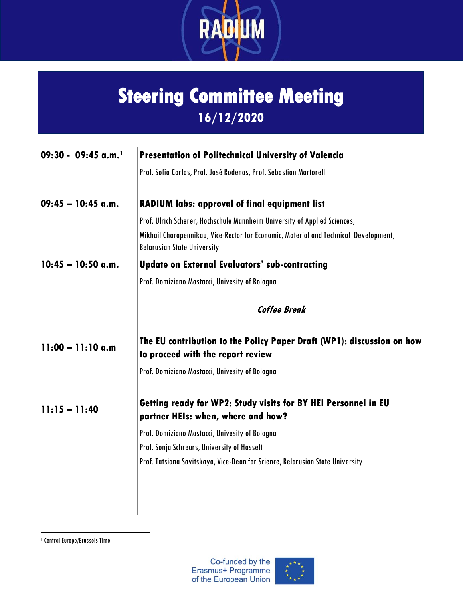

## **16/12/2020Steering Committee Meeting**

| $09:30 - 09:45$ a.m. <sup>1</sup> | <b>Presentation of Politechnical University of Valencia</b>                                                                |
|-----------------------------------|----------------------------------------------------------------------------------------------------------------------------|
|                                   | Prof. Sofia Carlos, Prof. José Rodenas, Prof. Sebastian Martorell                                                          |
| $09:45 - 10:45$ a.m.              | <b>RADIUM labs: approval of final equipment list</b>                                                                       |
|                                   | Prof. Ulrich Scherer, Hochschule Mannheim University of Applied Sciences,                                                  |
|                                   | Mikhail Charapennikau, Vice-Rector for Economic, Material and Technical Development,<br><b>Belarusian State University</b> |
| $10:45 - 10:50$ a.m.              | <b>Update on External Evaluators' sub-contracting</b>                                                                      |
|                                   | Prof. Domiziano Mostacci, Univesity of Bologna                                                                             |
|                                   | <b>Coffee Break</b>                                                                                                        |
| $11:00 - 11:10$ a.m               | The EU contribution to the Policy Paper Draft (WP1): discussion on how<br>to proceed with the report review                |
|                                   | Prof. Domiziano Mostacci, Univesity of Bologna                                                                             |
| $11:15 - 11:40$                   | Getting ready for WP2: Study visits for BY HEI Personnel in EU<br>partner HEIs: when, where and how?                       |
|                                   | Prof. Domiziano Mostacci, Univesity of Bologna                                                                             |
|                                   | Prof. Sonja Schreurs, University of Hasselt                                                                                |
|                                   | Prof. Tatsiana Savitskaya, Vice-Dean for Science, Belarusian State University                                              |
|                                   |                                                                                                                            |
|                                   |                                                                                                                            |

<sup>1</sup> Central Europe/Brussels Time